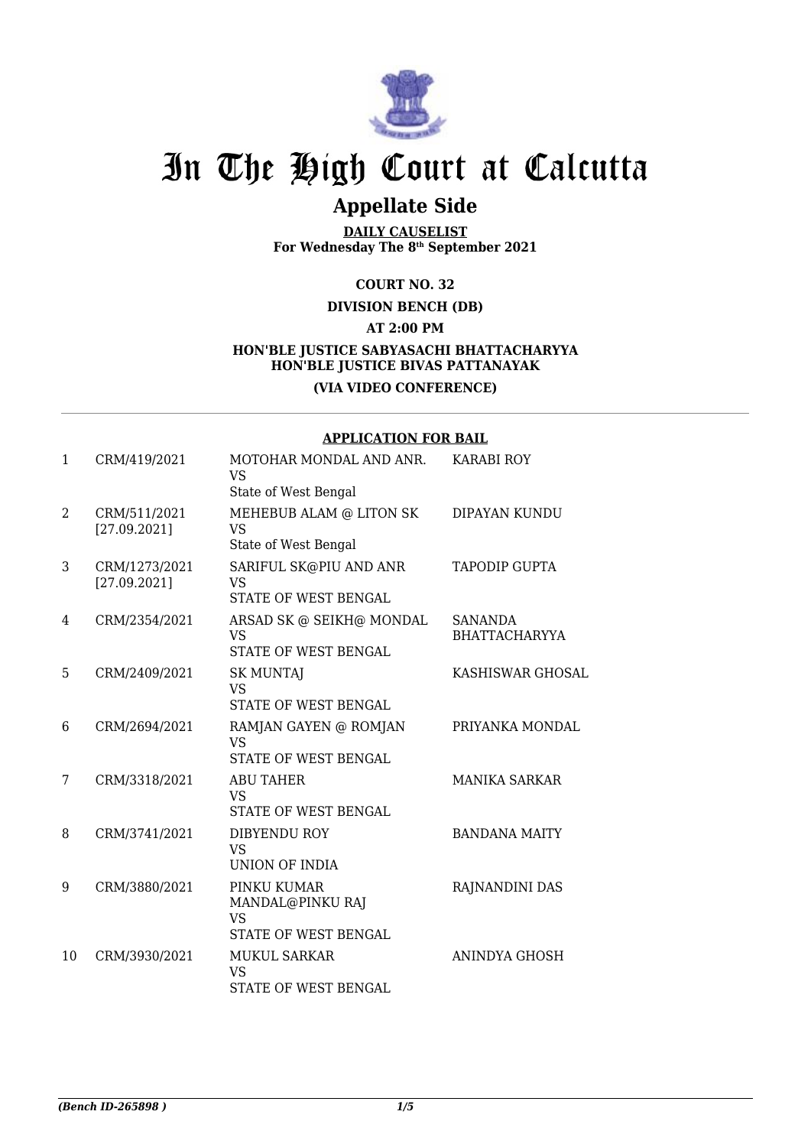

# In The High Court at Calcutta

## **Appellate Side**

**DAILY CAUSELIST For Wednesday The 8th September 2021**

### **COURT NO. 32**

**DIVISION BENCH (DB)**

**AT 2:00 PM**

### **HON'BLE JUSTICE SABYASACHI BHATTACHARYYA HON'BLE JUSTICE BIVAS PATTANAYAK (VIA VIDEO CONFERENCE)**

#### **APPLICATION FOR BAIL**

| $\mathbf{1}$ | CRM/419/2021                  | MOTOHAR MONDAL AND ANR.<br>VS<br>State of West Bengal                | <b>KARABI ROY</b>                      |
|--------------|-------------------------------|----------------------------------------------------------------------|----------------------------------------|
| 2            | CRM/511/2021<br>[27.09.2021]  | MEHEBUB ALAM @ LITON SK<br><b>VS</b><br>State of West Bengal         | DIPAYAN KUNDU                          |
| 3            | CRM/1273/2021<br>[27.09.2021] | SARIFUL SK@PIU AND ANR<br>VS<br><b>STATE OF WEST BENGAL</b>          | <b>TAPODIP GUPTA</b>                   |
| 4            | CRM/2354/2021                 | ARSAD SK @ SEIKH@ MONDAL<br><b>VS</b><br>STATE OF WEST BENGAL        | <b>SANANDA</b><br><b>BHATTACHARYYA</b> |
| 5            | CRM/2409/2021                 | <b>SK MUNTAJ</b><br><b>VS</b><br>STATE OF WEST BENGAL                | <b>KASHISWAR GHOSAL</b>                |
| 6            | CRM/2694/2021                 | RAMJAN GAYEN @ ROMJAN<br><b>VS</b><br>STATE OF WEST BENGAL           | PRIYANKA MONDAL                        |
| 7            | CRM/3318/2021                 | <b>ABU TAHER</b><br>VS.<br>STATE OF WEST BENGAL                      | <b>MANIKA SARKAR</b>                   |
| 8            | CRM/3741/2021                 | DIBYENDU ROY<br><b>VS</b><br>UNION OF INDIA                          | <b>BANDANA MAITY</b>                   |
| 9            | CRM/3880/2021                 | PINKU KUMAR<br>MANDAL@PINKU RAJ<br><b>VS</b><br>STATE OF WEST BENGAL | RAJNANDINI DAS                         |
| 10           | CRM/3930/2021                 | <b>MUKUL SARKAR</b><br><b>VS</b><br><b>STATE OF WEST BENGAL</b>      | ANINDYA GHOSH                          |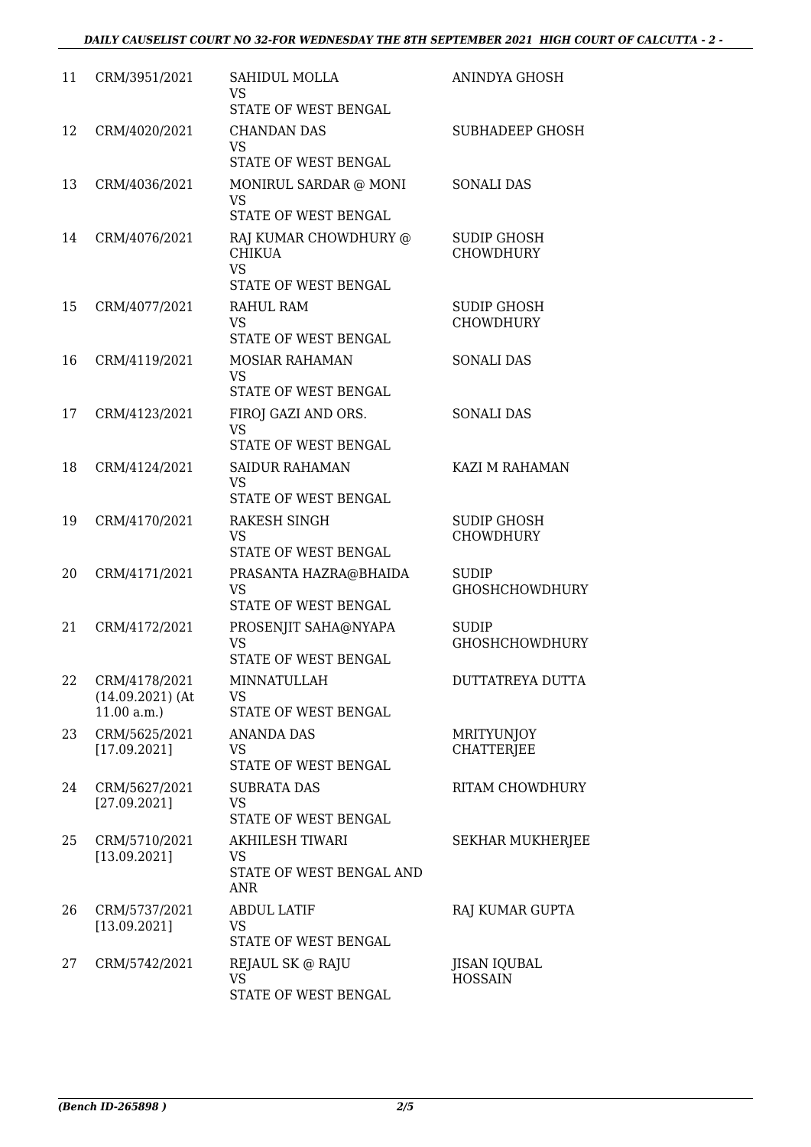| 11 | CRM/3951/2021                                     | SAHIDUL MOLLA<br>VS<br>STATE OF WEST BENGAL                                 | ANINDYA GHOSH                          |
|----|---------------------------------------------------|-----------------------------------------------------------------------------|----------------------------------------|
| 12 | CRM/4020/2021                                     | <b>CHANDAN DAS</b><br><b>VS</b><br>STATE OF WEST BENGAL                     | <b>SUBHADEEP GHOSH</b>                 |
| 13 | CRM/4036/2021                                     | MONIRUL SARDAR @ MONI<br><b>VS</b><br>STATE OF WEST BENGAL                  | <b>SONALI DAS</b>                      |
| 14 | CRM/4076/2021                                     | RAJ KUMAR CHOWDHURY @<br><b>CHIKUA</b><br><b>VS</b><br>STATE OF WEST BENGAL | <b>SUDIP GHOSH</b><br><b>CHOWDHURY</b> |
| 15 | CRM/4077/2021                                     | RAHUL RAM<br>VS.<br>STATE OF WEST BENGAL                                    | <b>SUDIP GHOSH</b><br><b>CHOWDHURY</b> |
| 16 | CRM/4119/2021                                     | <b>MOSIAR RAHAMAN</b><br>VS<br><b>STATE OF WEST BENGAL</b>                  | <b>SONALI DAS</b>                      |
| 17 | CRM/4123/2021                                     | FIROJ GAZI AND ORS.<br><b>VS</b><br>STATE OF WEST BENGAL                    | <b>SONALI DAS</b>                      |
| 18 | CRM/4124/2021                                     | <b>SAIDUR RAHAMAN</b><br>VS<br>STATE OF WEST BENGAL                         | KAZI M RAHAMAN                         |
| 19 | CRM/4170/2021                                     | RAKESH SINGH<br>VS.<br>STATE OF WEST BENGAL                                 | SUDIP GHOSH<br><b>CHOWDHURY</b>        |
| 20 | CRM/4171/2021                                     | PRASANTA HAZRA@BHAIDA<br><b>VS</b><br>STATE OF WEST BENGAL                  | SUDIP<br><b>GHOSHCHOWDHURY</b>         |
| 21 | CRM/4172/2021                                     | PROSENJIT SAHA@NYAPA<br><b>VS</b><br>STATE OF WEST BENGAL                   | SUDIP<br><b>GHOSHCHOWDHURY</b>         |
| 22 | CRM/4178/2021<br>$(14.09.2021)$ (At<br>11.00 a.m. | <b>MINNATULLAH</b><br><b>VS</b><br><b>STATE OF WEST BENGAL</b>              | <b>DUTTATREYA DUTTA</b>                |
| 23 | CRM/5625/2021<br>[17.09.2021]                     | <b>ANANDA DAS</b><br>VS<br>STATE OF WEST BENGAL                             | <b>MRITYUNJOY</b><br><b>CHATTERJEE</b> |
| 24 | CRM/5627/2021<br>[27.09.2021]                     | SUBRATA DAS<br><b>VS</b><br>STATE OF WEST BENGAL                            | RITAM CHOWDHURY                        |
| 25 | CRM/5710/2021<br>[13.09.2021]                     | AKHILESH TIWARI<br><b>VS</b><br>STATE OF WEST BENGAL AND<br><b>ANR</b>      | <b>SEKHAR MUKHERJEE</b>                |
| 26 | CRM/5737/2021<br>[13.09.2021]                     | <b>ABDUL LATIF</b><br><b>VS</b><br>STATE OF WEST BENGAL                     | RAJ KUMAR GUPTA                        |
| 27 | CRM/5742/2021                                     | REJAUL SK @ RAJU<br><b>VS</b><br>STATE OF WEST BENGAL                       | <b>JISAN IQUBAL</b><br><b>HOSSAIN</b>  |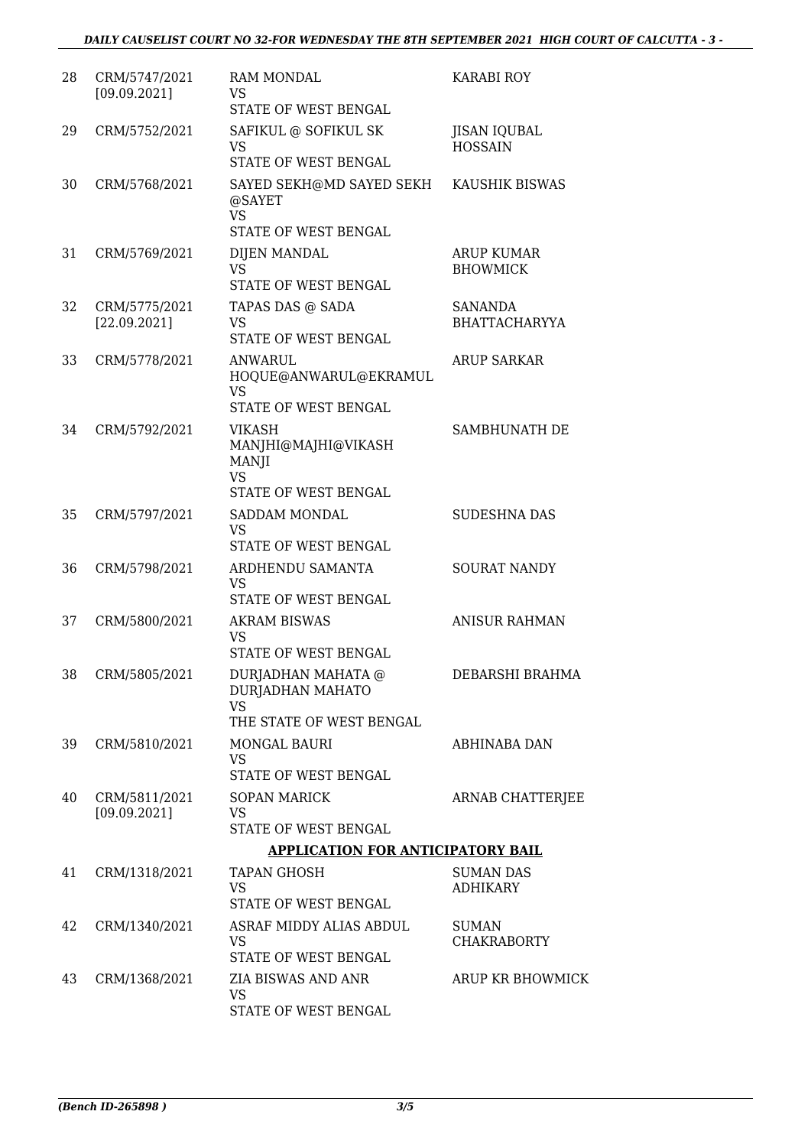| 28 | CRM/5747/2021<br>[09.09.2021] | <b>RAM MONDAL</b><br>VS<br>STATE OF WEST BENGAL                                     | <b>KARABI ROY</b>                     |
|----|-------------------------------|-------------------------------------------------------------------------------------|---------------------------------------|
| 29 | CRM/5752/2021                 | SAFIKUL @ SOFIKUL SK<br><b>VS</b>                                                   | <b>JISAN IQUBAL</b><br><b>HOSSAIN</b> |
|    |                               | STATE OF WEST BENGAL                                                                |                                       |
| 30 | CRM/5768/2021                 | SAYED SEKH@MD SAYED SEKH<br>@SAYET<br><b>VS</b><br>STATE OF WEST BENGAL             | KAUSHIK BISWAS                        |
|    |                               |                                                                                     |                                       |
| 31 | CRM/5769/2021                 | DIJEN MANDAL<br><b>VS</b><br>STATE OF WEST BENGAL                                   | <b>ARUP KUMAR</b><br><b>BHOWMICK</b>  |
| 32 | CRM/5775/2021                 | TAPAS DAS @ SADA                                                                    | <b>SANANDA</b>                        |
|    | [22.09.2021]                  | VS<br>STATE OF WEST BENGAL                                                          | <b>BHATTACHARYYA</b>                  |
| 33 | CRM/5778/2021                 | <b>ANWARUL</b><br>HOQUE@ANWARUL@EKRAMUL<br><b>VS</b><br><b>STATE OF WEST BENGAL</b> | <b>ARUP SARKAR</b>                    |
| 34 | CRM/5792/2021                 | <b>VIKASH</b><br>MANJHI@MAJHI@VIKASH<br><b>MANJI</b><br><b>VS</b>                   | SAMBHUNATH DE                         |
|    |                               | STATE OF WEST BENGAL                                                                |                                       |
| 35 | CRM/5797/2021                 | SADDAM MONDAL<br><b>VS</b><br>STATE OF WEST BENGAL                                  | <b>SUDESHNA DAS</b>                   |
| 36 | CRM/5798/2021                 | ARDHENDU SAMANTA<br><b>VS</b><br>STATE OF WEST BENGAL                               | <b>SOURAT NANDY</b>                   |
| 37 | CRM/5800/2021                 | <b>AKRAM BISWAS</b>                                                                 | <b>ANISUR RAHMAN</b>                  |
|    |                               | <b>VS</b><br>STATE OF WEST BENGAL                                                   |                                       |
| 38 | CRM/5805/2021                 | DURJADHAN MAHATA @<br>DURJADHAN MAHATO<br><b>VS</b><br>THE STATE OF WEST BENGAL     | DEBARSHI BRAHMA                       |
| 39 | CRM/5810/2021                 | <b>MONGAL BAURI</b>                                                                 | <b>ABHINABA DAN</b>                   |
|    |                               | <b>VS</b><br>STATE OF WEST BENGAL                                                   |                                       |
| 40 | CRM/5811/2021                 | <b>SOPAN MARICK</b>                                                                 | <b>ARNAB CHATTERJEE</b>               |
|    | [09.09.2021]                  | <b>VS</b>                                                                           |                                       |
|    |                               | STATE OF WEST BENGAL                                                                |                                       |
|    |                               | <b>APPLICATION FOR ANTICIPATORY BAIL</b>                                            |                                       |
| 41 | CRM/1318/2021                 | <b>TAPAN GHOSH</b><br><b>VS</b><br>STATE OF WEST BENGAL                             | <b>SUMAN DAS</b><br><b>ADHIKARY</b>   |
| 42 | CRM/1340/2021                 | ASRAF MIDDY ALIAS ABDUL                                                             | <b>SUMAN</b>                          |
|    |                               | <b>VS</b><br>STATE OF WEST BENGAL                                                   | <b>CHAKRABORTY</b>                    |
| 43 | CRM/1368/2021                 | ZIA BISWAS AND ANR<br>VS<br>STATE OF WEST BENGAL                                    | ARUP KR BHOWMICK                      |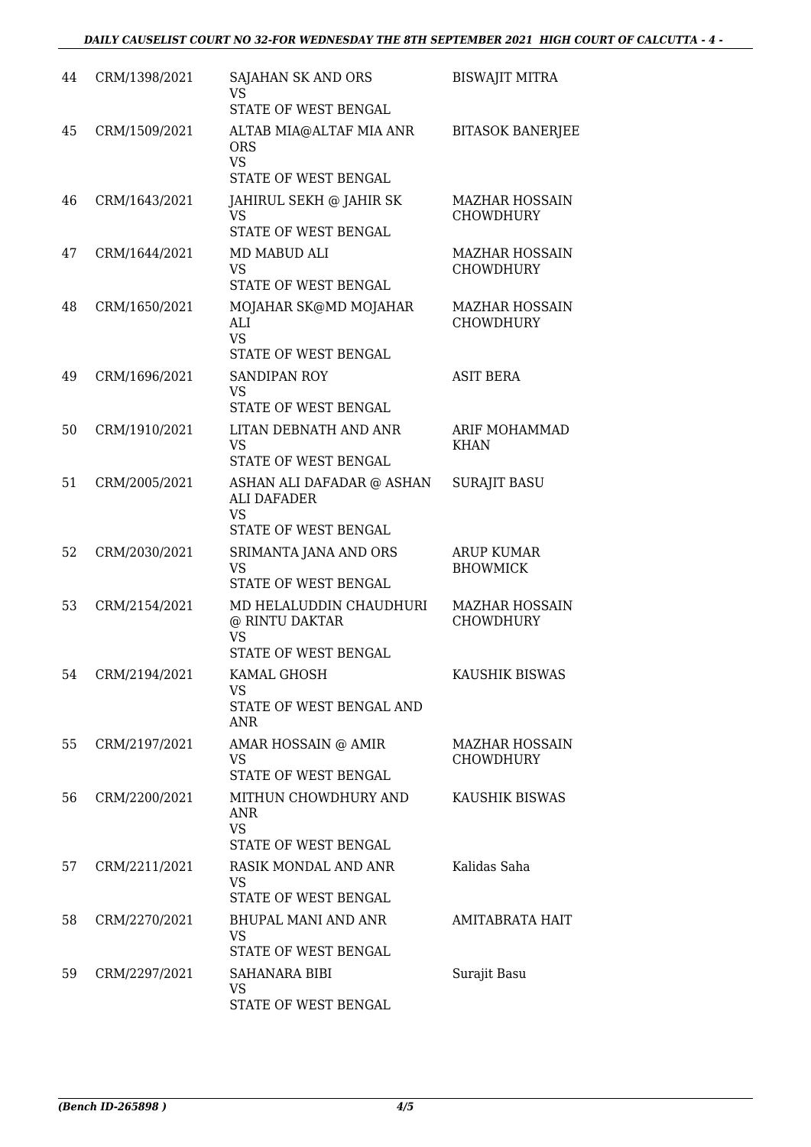| 44 | CRM/1398/2021    | <b>SAJAHAN SK AND ORS</b><br>VS<br>STATE OF WEST BENGAL                           | <b>BISWAJIT MITRA</b>                     |
|----|------------------|-----------------------------------------------------------------------------------|-------------------------------------------|
| 45 | CRM/1509/2021    | ALTAB MIA@ALTAF MIA ANR<br><b>ORS</b><br><b>VS</b><br><b>STATE OF WEST BENGAL</b> | <b>BITASOK BANERJEE</b>                   |
| 46 | CRM/1643/2021    | JAHIRUL SEKH @ JAHIR SK<br>VS.<br>STATE OF WEST BENGAL                            | <b>MAZHAR HOSSAIN</b><br><b>CHOWDHURY</b> |
| 47 | CRM/1644/2021    | MD MABUD ALI<br>VS<br>STATE OF WEST BENGAL                                        | <b>MAZHAR HOSSAIN</b><br><b>CHOWDHURY</b> |
| 48 | CRM/1650/2021    | MOJAHAR SK@MD MOJAHAR<br>ALI<br><b>VS</b><br>STATE OF WEST BENGAL                 | <b>MAZHAR HOSSAIN</b><br><b>CHOWDHURY</b> |
| 49 | CRM/1696/2021    | <b>SANDIPAN ROY</b><br>VS<br><b>STATE OF WEST BENGAL</b>                          | <b>ASIT BERA</b>                          |
| 50 | CRM/1910/2021    | LITAN DEBNATH AND ANR<br><b>VS</b><br>STATE OF WEST BENGAL                        | ARIF MOHAMMAD<br><b>KHAN</b>              |
| 51 | CRM/2005/2021    | ASHAN ALI DAFADAR @ ASHAN<br>ALI DAFADER<br>VS.<br>STATE OF WEST BENGAL           | <b>SURAJIT BASU</b>                       |
| 52 | CRM/2030/2021    | SRIMANTA JANA AND ORS<br><b>VS</b><br>STATE OF WEST BENGAL                        | <b>ARUP KUMAR</b><br><b>BHOWMICK</b>      |
| 53 | CRM/2154/2021    | MD HELALUDDIN CHAUDHURI<br>@ RINTU DAKTAR<br>VS<br>STATE OF WEST BENGAL           | <b>MAZHAR HOSSAIN</b><br><b>CHOWDHURY</b> |
|    | 54 CRM/2194/2021 | KAMAL GHOSH<br>VS<br>STATE OF WEST BENGAL AND<br>ANR                              | KAUSHIK BISWAS                            |
| 55 | CRM/2197/2021    | AMAR HOSSAIN @ AMIR<br>VS<br>STATE OF WEST BENGAL                                 | <b>MAZHAR HOSSAIN</b><br><b>CHOWDHURY</b> |
| 56 | CRM/2200/2021    | MITHUN CHOWDHURY AND<br>ANR<br><b>VS</b><br>STATE OF WEST BENGAL                  | KAUSHIK BISWAS                            |
| 57 | CRM/2211/2021    | RASIK MONDAL AND ANR<br><b>VS</b><br>STATE OF WEST BENGAL                         | Kalidas Saha                              |
| 58 | CRM/2270/2021    | BHUPAL MANI AND ANR<br>VS.<br>STATE OF WEST BENGAL                                | AMITABRATA HAIT                           |
| 59 | CRM/2297/2021    | SAHANARA BIBI<br><b>VS</b><br>STATE OF WEST BENGAL                                | Surajit Basu                              |